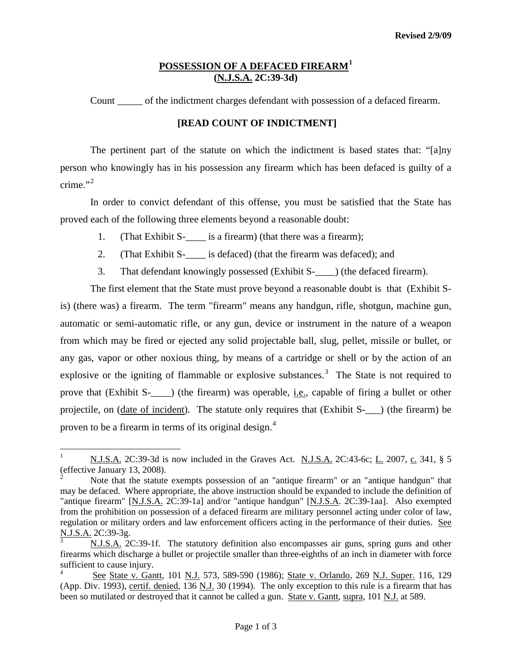## **POSSESSION OF A DEFACED FIREARM[1](#page-2-0) (N.J.S.A. 2C:39-3d)**

Count \_\_\_\_\_ of the indictment charges defendant with possession of a defaced firearm.

## **[READ COUNT OF INDICTMENT]**

The pertinent part of the statute on which the indictment is based states that: "[a]ny person who knowingly has in his possession any firearm which has been defaced is guilty of a crime." $2$ 

In order to convict defendant of this offense, you must be satisfied that the State has proved each of the following three elements beyond a reasonable doubt:

- 1. (That Exhibit S- $\frac{1}{\sqrt{1-\frac{1}{\sqrt{1-\frac{1}{\sqrt{1-\frac{1}{\sqrt{1-\frac{1}{\sqrt{1-\frac{1}{\sqrt{1-\frac{1}{\sqrt{1-\frac{1}{\sqrt{1-\frac{1}{\sqrt{1-\frac{1}{\sqrt{1-\frac{1}{\sqrt{1-\frac{1}{\sqrt{1-\frac{1}{\sqrt{1-\frac{1}{\sqrt{1-\frac{1}{\sqrt{1-\frac{1}{\sqrt{1-\frac{1}{\sqrt{1-\frac{1}{\sqrt{1-\frac{1}{\sqrt{1-\frac{1}{\sqrt{1-\frac{1}{\sqrt{1-\frac{1}{\sqrt{1-\frac{1$
- 2. (That Exhibit S-\_\_\_\_ is defaced) (that the firearm was defaced); and
- 3. That defendant knowingly possessed (Exhibit S-\_\_\_\_) (the defaced firearm).

The first element that the State must prove beyond a reasonable doubt is that (Exhibit Sis) (there was) a firearm. The term "firearm" means any handgun, rifle, shotgun, machine gun, automatic or semi-automatic rifle, or any gun, device or instrument in the nature of a weapon from which may be fired or ejected any solid projectable ball, slug, pellet, missile or bullet, or any gas, vapor or other noxious thing, by means of a cartridge or shell or by the action of an explosive or the igniting of flammable or explosive substances.<sup>[3](#page-0-1)</sup> The State is not required to prove that (Exhibit S- $\qquad$ ) (the firearm) was operable, <u>i.e.</u>, capable of firing a bullet or other projectile, on (date of incident). The statute only requires that (Exhibit S-\_\_\_) (the firearm) be proven to be a firearm in terms of its original design.<sup>[4](#page-0-2)</sup>

N.J.S.A. 2C:39-3d is now included in the Graves Act. N.J.S.A. 2C:43-6c; L. 2007, c. 341, § 5 (effective January 13, 2008).

<span id="page-0-0"></span><sup>2</sup> Note that the statute exempts possession of an "antique firearm" or an "antique handgun" that may be defaced. Where appropriate, the above instruction should be expanded to include the definition of "antique firearm" [N.J.S.A. 2C:39-1a] and/or "antique handgun" [N.J.S.A. 2C:39-1aa]. Also exempted from the prohibition on possession of a defaced firearm are military personnel acting under color of law, regulation or military orders and law enforcement officers acting in the performance of their duties. See N.J.S.A. 2C:39-3g.

<span id="page-0-1"></span><sup>3</sup> N.J.S.A. 2C:39-1f. The statutory definition also encompasses air guns, spring guns and other firearms which discharge a bullet or projectile smaller than three-eighths of an inch in diameter with force sufficient to cause injury.

<span id="page-0-3"></span><span id="page-0-2"></span><sup>4</sup> See State v. Gantt, 101 N.J. 573, 589-590 (1986); State v. Orlando, 269 N.J. Super. 116, 129 (App. Div. 1993), certif. denied, 136 N.J. 30 (1994). The only exception to this rule is a firearm that has been so mutilated or destroyed that it cannot be called a gun. State v. Gantt, supra, 101 N.J. at 589.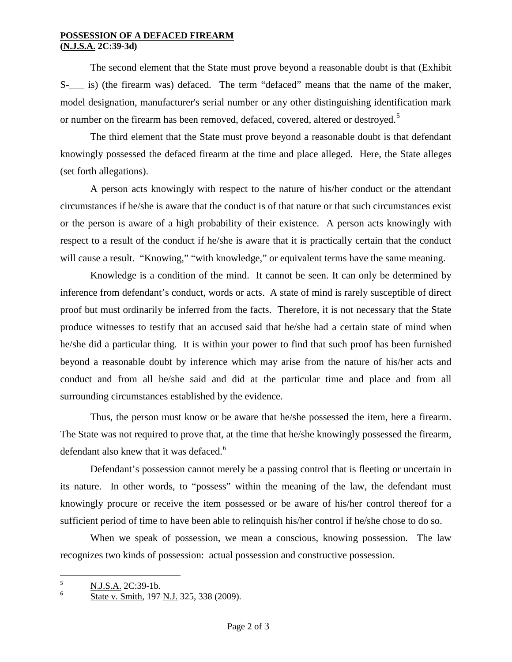## **POSSESSION OF A DEFACED FIREARM (N.J.S.A. 2C:39-3d)**

The second element that the State must prove beyond a reasonable doubt is that (Exhibit S- is) (the firearm was) defaced. The term "defaced" means that the name of the maker, model designation, manufacturer's serial number or any other distinguishing identification mark or number on the firearm has been removed, defaced, covered, altered or destroyed.<sup>[5](#page-0-3)</sup>

The third element that the State must prove beyond a reasonable doubt is that defendant knowingly possessed the defaced firearm at the time and place alleged. Here, the State alleges (set forth allegations).

A person acts knowingly with respect to the nature of his/her conduct or the attendant circumstances if he/she is aware that the conduct is of that nature or that such circumstances exist or the person is aware of a high probability of their existence. A person acts knowingly with respect to a result of the conduct if he/she is aware that it is practically certain that the conduct will cause a result. "Knowing," "with knowledge," or equivalent terms have the same meaning.

Knowledge is a condition of the mind. It cannot be seen. It can only be determined by inference from defendant's conduct, words or acts. A state of mind is rarely susceptible of direct proof but must ordinarily be inferred from the facts. Therefore, it is not necessary that the State produce witnesses to testify that an accused said that he/she had a certain state of mind when he/she did a particular thing. It is within your power to find that such proof has been furnished beyond a reasonable doubt by inference which may arise from the nature of his/her acts and conduct and from all he/she said and did at the particular time and place and from all surrounding circumstances established by the evidence.

Thus, the person must know or be aware that he/she possessed the item, here a firearm. The State was not required to prove that, at the time that he/she knowingly possessed the firearm, defendant also knew that it was defaced.<sup>[6](#page-1-0)</sup>

Defendant's possession cannot merely be a passing control that is fleeting or uncertain in its nature. In other words, to "possess" within the meaning of the law, the defendant must knowingly procure or receive the item possessed or be aware of his/her control thereof for a sufficient period of time to have been able to relinquish his/her control if he/she chose to do so.

When we speak of possession, we mean a conscious, knowing possession. The law recognizes two kinds of possession: actual possession and constructive possession.

<span id="page-1-1"></span> $\frac{5}{6}$  N.J.S.A. 2C:39-1b.

<span id="page-1-0"></span>State v. Smith, 197 N.J. 325, 338 (2009).